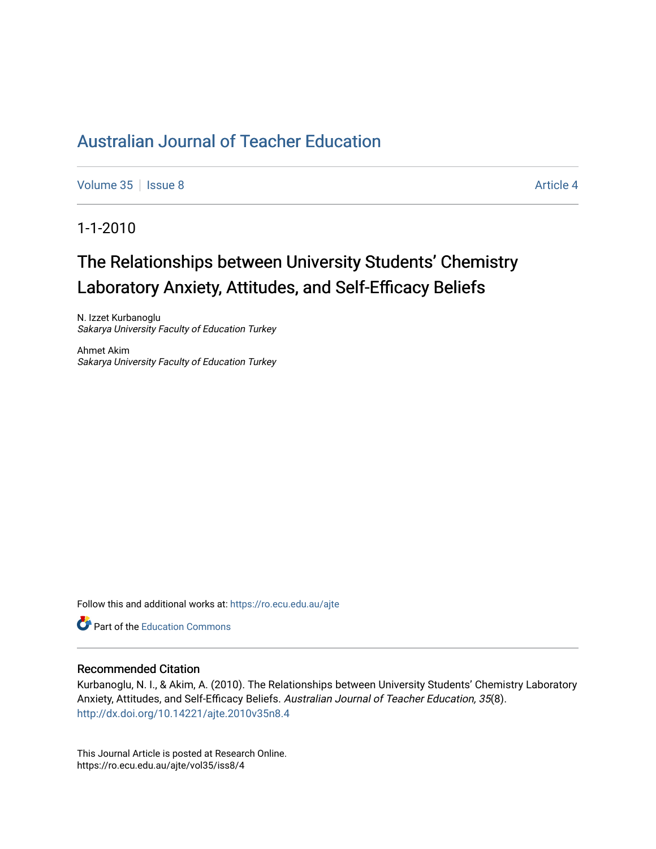# [Australian Journal of Teacher Education](https://ro.ecu.edu.au/ajte)

[Volume 35](https://ro.ecu.edu.au/ajte/vol35) | [Issue 8](https://ro.ecu.edu.au/ajte/vol35/iss8) Article 4

1-1-2010

# The Relationships between University Students' Chemistry Laboratory Anxiety, Attitudes, and Self-Efficacy Beliefs

N. Izzet Kurbanoglu Sakarya University Faculty of Education Turkey

Ahmet Akim Sakarya University Faculty of Education Turkey

Follow this and additional works at: [https://ro.ecu.edu.au/ajte](https://ro.ecu.edu.au/ajte?utm_source=ro.ecu.edu.au%2Fajte%2Fvol35%2Fiss8%2F4&utm_medium=PDF&utm_campaign=PDFCoverPages) 

**Part of the Education Commons** 

#### Recommended Citation

Kurbanoglu, N. I., & Akim, A. (2010). The Relationships between University Students' Chemistry Laboratory Anxiety, Attitudes, and Self-Efficacy Beliefs. Australian Journal of Teacher Education, 35(8). <http://dx.doi.org/10.14221/ajte.2010v35n8.4>

This Journal Article is posted at Research Online. https://ro.ecu.edu.au/ajte/vol35/iss8/4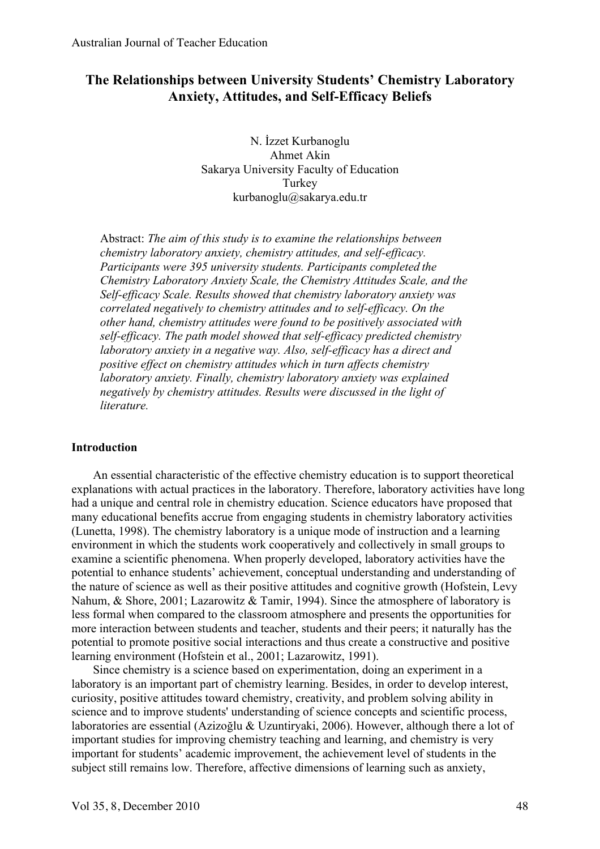# **The Relationships between University Students' Chemistry Laboratory Anxiety, Attitudes, and Self-Efficacy Beliefs**

N. İzzet Kurbanoglu Ahmet Akin Sakarya University Faculty of Education Turkey kurbanoglu@sakarya.edu.tr

Abstract: *The aim of this study is to examine the relationships between chemistry laboratory anxiety, chemistry attitudes, and self-efficacy. Participants were 395 university students. Participants completed the Chemistry Laboratory Anxiety Scale, the Chemistry Attitudes Scale, and the Self-efficacy Scale. Results showed that chemistry laboratory anxiety was correlated negatively to chemistry attitudes and to self-efficacy. On the other hand, chemistry attitudes were found to be positively associated with self-efficacy. The path model showed that self-efficacy predicted chemistry laboratory anxiety in a negative way. Also, self-efficacy has a direct and positive effect on chemistry attitudes which in turn affects chemistry laboratory anxiety. Finally, chemistry laboratory anxiety was explained negatively by chemistry attitudes. Results were discussed in the light of literature.*

## **Introduction**

An essential characteristic of the effective chemistry education is to support theoretical explanations with actual practices in the laboratory. Therefore, laboratory activities have long had a unique and central role in chemistry education. Science educators have proposed that many educational benefits accrue from engaging students in chemistry laboratory activities (Lunetta, 1998). The chemistry laboratory is a unique mode of instruction and a learning environment in which the students work cooperatively and collectively in small groups to examine a scientific phenomena. When properly developed, laboratory activities have the potential to enhance students' achievement, conceptual understanding and understanding of the nature of science as well as their positive attitudes and cognitive growth (Hofstein, Levy Nahum, & Shore, 2001; Lazarowitz & Tamir, 1994). Since the atmosphere of laboratory is less formal when compared to the classroom atmosphere and presents the opportunities for more interaction between students and teacher, students and their peers; it naturally has the potential to promote positive social interactions and thus create a constructive and positive learning environment (Hofstein et al., 2001; Lazarowitz, 1991).

Since chemistry is a science based on experimentation, doing an experiment in a laboratory is an important part of chemistry learning. Besides, in order to develop interest, curiosity, positive attitudes toward chemistry, creativity, and problem solving ability in science and to improve students' understanding of science concepts and scientific process, laboratories are essential (Azizoğlu & Uzuntiryaki, 2006). However, although there a lot of important studies for improving chemistry teaching and learning, and chemistry is very important for students' academic improvement, the achievement level of students in the subject still remains low. Therefore, affective dimensions of learning such as anxiety,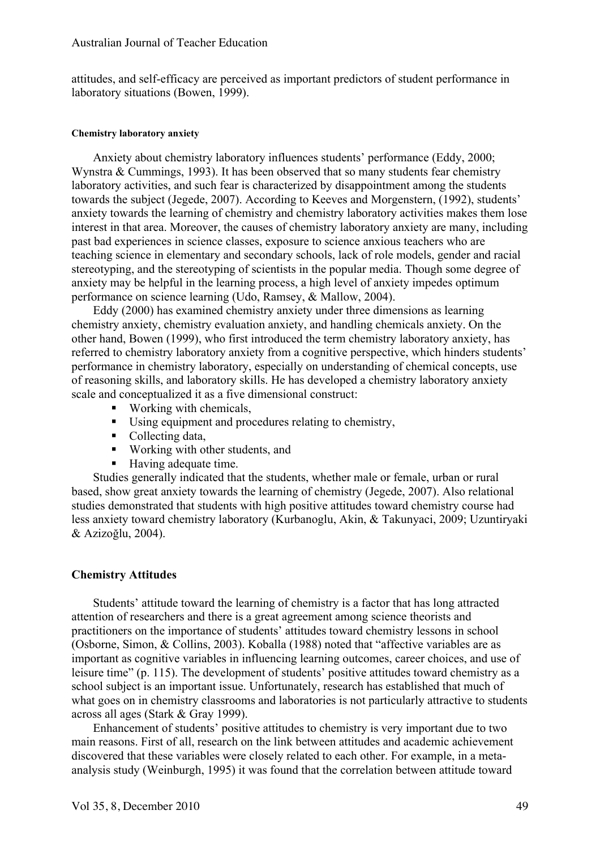attitudes, and self-efficacy are perceived as important predictors of student performance in laboratory situations (Bowen, 1999).

#### **Chemistry laboratory anxiety**

Anxiety about chemistry laboratory influences students' performance (Eddy, 2000; Wynstra & Cummings, 1993). It has been observed that so many students fear chemistry laboratory activities, and such fear is characterized by disappointment among the students towards the subject (Jegede, 2007). According to Keeves and Morgenstern, (1992), students' anxiety towards the learning of chemistry and chemistry laboratory activities makes them lose interest in that area. Moreover, the causes of chemistry laboratory anxiety are many, including past bad experiences in science classes, exposure to science anxious teachers who are teaching science in elementary and secondary schools, lack of role models, gender and racial stereotyping, and the stereotyping of scientists in the popular media. Though some degree of anxiety may be helpful in the learning process, a high level of anxiety impedes optimum performance on science learning (Udo, Ramsey, & Mallow, 2004).

Eddy (2000) has examined chemistry anxiety under three dimensions as learning chemistry anxiety, chemistry evaluation anxiety, and handling chemicals anxiety. On the other hand, Bowen (1999), who first introduced the term chemistry laboratory anxiety, has referred to chemistry laboratory anxiety from a cognitive perspective, which hinders students' performance in chemistry laboratory, especially on understanding of chemical concepts, use of reasoning skills, and laboratory skills. He has developed a chemistry laboratory anxiety scale and conceptualized it as a five dimensional construct:

- Working with chemicals,
- Using equipment and procedures relating to chemistry,
- Collecting data,
- Working with other students, and
- Having adequate time.

Studies generally indicated that the students, whether male or female, urban or rural based, show great anxiety towards the learning of chemistry (Jegede, 2007). Also relational studies demonstrated that students with high positive attitudes toward chemistry course had less anxiety toward chemistry laboratory (Kurbanoglu, Akin, & Takunyaci, 2009; Uzuntiryaki & Azizoğlu, 2004).

# **Chemistry Attitudes**

Students' attitude toward the learning of chemistry is a factor that has long attracted attention of researchers and there is a great agreement among science theorists and practitioners on the importance of students' attitudes toward chemistry lessons in school (Osborne, Simon, & Collins, 2003). Koballa (1988) noted that "affective variables are as important as cognitive variables in influencing learning outcomes, career choices, and use of leisure time" (p. 115). The development of students' positive attitudes toward chemistry as a school subject is an important issue. Unfortunately, research has established that much of what goes on in chemistry classrooms and laboratories is not particularly attractive to students across all ages (Stark & Gray 1999).

Enhancement of students' positive attitudes to chemistry is very important due to two main reasons. First of all, research on the link between attitudes and academic achievement discovered that these variables were closely related to each other. For example, in a metaanalysis study (Weinburgh, 1995) it was found that the correlation between attitude toward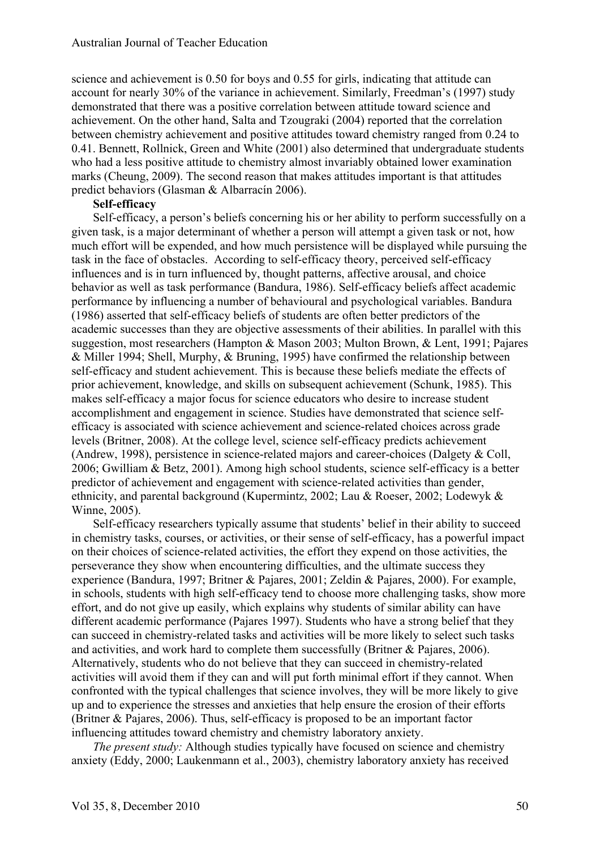science and achievement is 0.50 for boys and 0.55 for girls, indicating that attitude can account for nearly 30% of the variance in achievement. Similarly, Freedman's (1997) study demonstrated that there was a positive correlation between attitude toward science and achievement. On the other hand, Salta and Tzougraki (2004) reported that the correlation between chemistry achievement and positive attitudes toward chemistry ranged from 0.24 to 0.41. Bennett, Rollnick, Green and White (2001) also determined that undergraduate students who had a less positive attitude to chemistry almost invariably obtained lower examination marks (Cheung, 2009). The second reason that makes attitudes important is that attitudes predict behaviors (Glasman & Albarracín 2006).

# **Self-efficacy**

Self-efficacy, a person's beliefs concerning his or her ability to perform successfully on a given task, is a major determinant of whether a person will attempt a given task or not, how much effort will be expended, and how much persistence will be displayed while pursuing the task in the face of obstacles. According to self-efficacy theory, perceived self-efficacy influences and is in turn influenced by, thought patterns, affective arousal, and choice behavior as well as task performance (Bandura, 1986). Self-efficacy beliefs affect academic performance by influencing a number of behavioural and psychological variables. Bandura (1986) asserted that self-efficacy beliefs of students are often better predictors of the academic successes than they are objective assessments of their abilities. In parallel with this suggestion, most researchers (Hampton & Mason 2003; Multon Brown, & Lent, 1991; Pajares & Miller 1994; Shell, Murphy, & Bruning, 1995) have confirmed the relationship between self-efficacy and student achievement. This is because these beliefs mediate the effects of prior achievement, knowledge, and skills on subsequent achievement (Schunk, 1985). This makes self-efficacy a major focus for science educators who desire to increase student accomplishment and engagement in science. Studies have demonstrated that science selfefficacy is associated with science achievement and science-related choices across grade levels (Britner, 2008). At the college level, science self-efficacy predicts achievement (Andrew, 1998), persistence in science-related majors and career-choices (Dalgety & Coll, 2006; Gwilliam & Betz, 2001). Among high school students, science self-efficacy is a better predictor of achievement and engagement with science-related activities than gender, ethnicity, and parental background (Kupermintz, 2002; Lau & Roeser, 2002; Lodewyk & Winne, 2005).

Self-efficacy researchers typically assume that students' belief in their ability to succeed in chemistry tasks, courses, or activities, or their sense of self-efficacy, has a powerful impact on their choices of science-related activities, the effort they expend on those activities, the perseverance they show when encountering difficulties, and the ultimate success they experience (Bandura, 1997; Britner & Pajares, 2001; Zeldin & Pajares, 2000). For example, in schools, students with high self-efficacy tend to choose more challenging tasks, show more effort, and do not give up easily, which explains why students of similar ability can have different academic performance (Pajares 1997). Students who have a strong belief that they can succeed in chemistry-related tasks and activities will be more likely to select such tasks and activities, and work hard to complete them successfully (Britner & Pajares, 2006). Alternatively, students who do not believe that they can succeed in chemistry-related activities will avoid them if they can and will put forth minimal effort if they cannot. When confronted with the typical challenges that science involves, they will be more likely to give up and to experience the stresses and anxieties that help ensure the erosion of their efforts (Britner & Pajares, 2006). Thus, self-efficacy is proposed to be an important factor influencing attitudes toward chemistry and chemistry laboratory anxiety.

*The present study:* Although studies typically have focused on science and chemistry anxiety (Eddy, 2000; Laukenmann et al., 2003), chemistry laboratory anxiety has received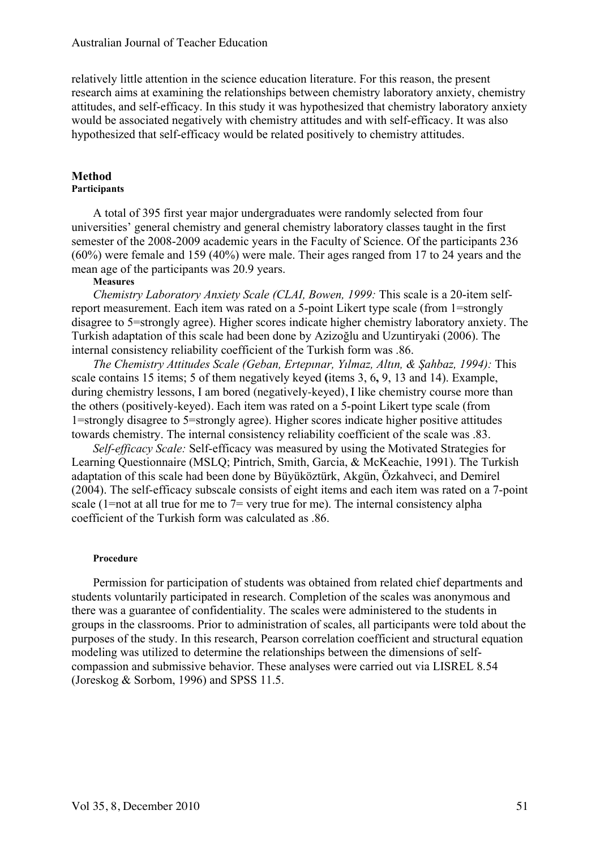relatively little attention in the science education literature. For this reason, the present research aims at examining the relationships between chemistry laboratory anxiety, chemistry attitudes, and self-efficacy. In this study it was hypothesized that chemistry laboratory anxiety would be associated negatively with chemistry attitudes and with self-efficacy. It was also hypothesized that self-efficacy would be related positively to chemistry attitudes.

# **Method**

# **Participants**

A total of 395 first year major undergraduates were randomly selected from four universities' general chemistry and general chemistry laboratory classes taught in the first semester of the 2008-2009 academic years in the Faculty of Science. Of the participants 236 (60%) were female and 159 (40%) were male. Their ages ranged from 17 to 24 years and the mean age of the participants was 20.9 years.

# **Measures**

*Chemistry Laboratory Anxiety Scale (CLAI, Bowen, 1999:* This scale is a 20-item selfreport measurement. Each item was rated on a 5-point Likert type scale (from 1=strongly disagree to 5=strongly agree). Higher scores indicate higher chemistry laboratory anxiety. The Turkish adaptation of this scale had been done by Azizoğlu and Uzuntiryaki (2006). The internal consistency reliability coefficient of the Turkish form was .86.

*The Chemistry Attitudes Scale (Geban, Ertepınar, Yılmaz, Altın, & Şahbaz, 1994):* This scale contains 15 items; 5 of them negatively keyed **(**items 3, 6**,** 9, 13 and 14). Example, during chemistry lessons, I am bored (negatively-keyed), I like chemistry course more than the others (positively-keyed). Each item was rated on a 5-point Likert type scale (from 1=strongly disagree to 5=strongly agree). Higher scores indicate higher positive attitudes towards chemistry. The internal consistency reliability coefficient of the scale was .83.

*Self-efficacy Scale:* Self-efficacy was measured by using the Motivated Strategies for Learning Questionnaire (MSLQ; Pintrich, Smith, Garcia, & McKeachie, 1991). The Turkish adaptation of this scale had been done by Büyüköztürk, Akgün, Özkahveci, and Demirel (2004). The self-efficacy subscale consists of eight items and each item was rated on a 7-point scale (1=not at all true for me to  $7=$  very true for me). The internal consistency alpha coefficient of the Turkish form was calculated as .86.

## **Procedure**

Permission for participation of students was obtained from related chief departments and students voluntarily participated in research. Completion of the scales was anonymous and there was a guarantee of confidentiality. The scales were administered to the students in groups in the classrooms. Prior to administration of scales, all participants were told about the purposes of the study. In this research, Pearson correlation coefficient and structural equation modeling was utilized to determine the relationships between the dimensions of selfcompassion and submissive behavior. These analyses were carried out via LISREL 8.54 (Joreskog & Sorbom, 1996) and SPSS 11.5.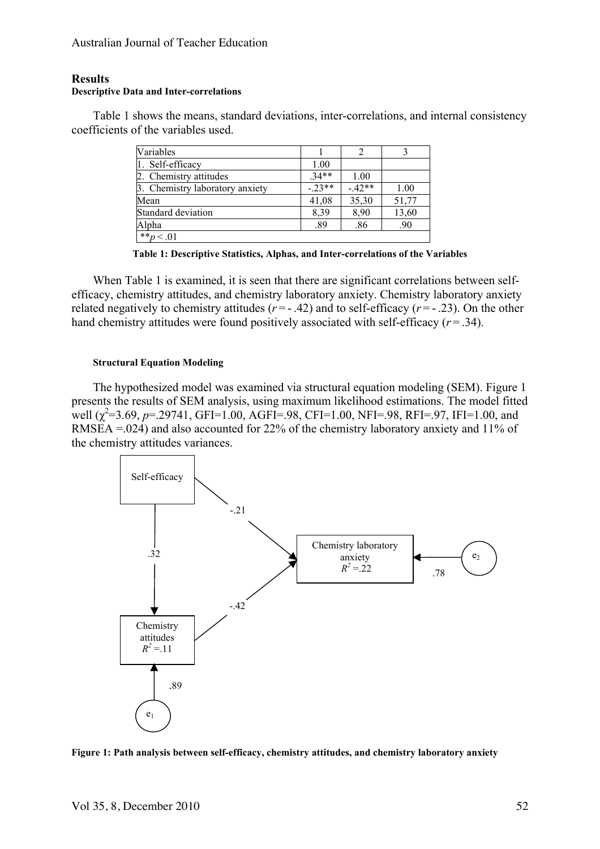# **Results**

#### **Descriptive Data and Inter-correlations**

Table 1 shows the means, standard deviations, inter-correlations, and internal consistency coefficients of the variables used.

| Variables                       |         |         |       |
|---------------------------------|---------|---------|-------|
| 1. Self-efficacy                | 1.00    |         |       |
| 2. Chemistry attitudes          | $.34**$ | 1.00    |       |
| 3. Chemistry laboratory anxiety | $-23**$ | $-42**$ | 1.00  |
| Mean                            | 41,08   | 35,30   | 51,77 |
| Standard deviation              | 8,39    | 8,90    | 13,60 |
| Alpha                           | .89     | .86     | .90   |
| ** $p < .01$                    |         |         |       |

**Table 1: Descriptive Statistics, Alphas, and Inter-correlations of the Variables**

When Table 1 is examined, it is seen that there are significant correlations between selfefficacy, chemistry attitudes, and chemistry laboratory anxiety. Chemistry laboratory anxiety related negatively to chemistry attitudes  $(r = -0.42)$  and to self-efficacy  $(r = -0.23)$ . On the other hand chemistry attitudes were found positively associated with self-efficacy  $(r = .34)$ .

#### **Structural Equation Modeling**

The hypothesized model was examined via structural equation modeling (SEM). Figure 1 presents the results of SEM analysis, using maximum likelihood estimations. The model fitted well  $(\chi^2=3.69, p=.29741, GFI=1.00, AGFI=.98, CFI=1.00, NFI=.98, RFI=.97, IFI=1.00, and$ RMSEA =.024) and also accounted for 22% of the chemistry laboratory anxiety and 11% of the chemistry attitudes variances.



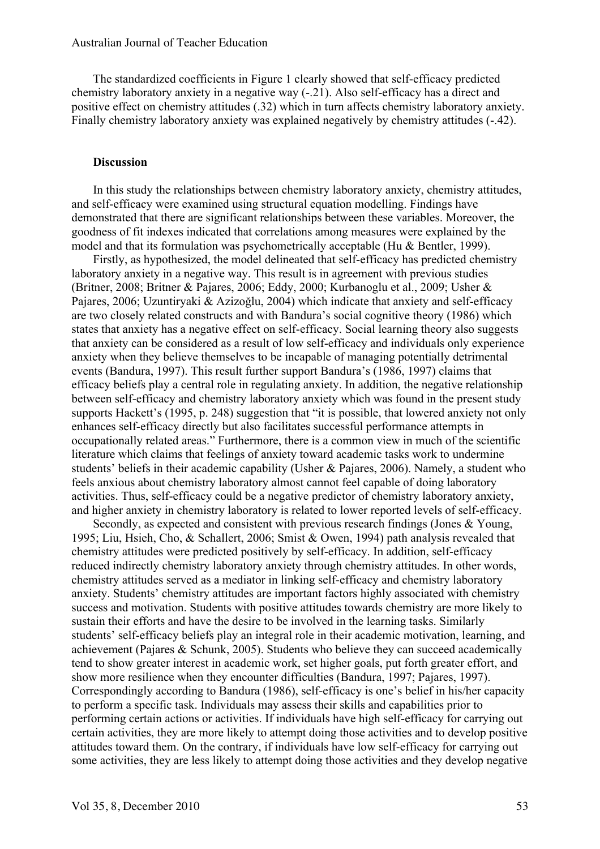The standardized coefficients in Figure 1 clearly showed that self-efficacy predicted chemistry laboratory anxiety in a negative way (-.21). Also self-efficacy has a direct and positive effect on chemistry attitudes (.32) which in turn affects chemistry laboratory anxiety. Finally chemistry laboratory anxiety was explained negatively by chemistry attitudes (-.42).

## **Discussion**

In this study the relationships between chemistry laboratory anxiety, chemistry attitudes, and self-efficacy were examined using structural equation modelling. Findings have demonstrated that there are significant relationships between these variables. Moreover, the goodness of fit indexes indicated that correlations among measures were explained by the model and that its formulation was psychometrically acceptable (Hu & Bentler, 1999).

Firstly, as hypothesized, the model delineated that self-efficacy has predicted chemistry laboratory anxiety in a negative way. This result is in agreement with previous studies (Britner, 2008; Britner & Pajares, 2006; Eddy, 2000; Kurbanoglu et al., 2009; Usher & Pajares, 2006; Uzuntiryaki & Azizoğlu, 2004) which indicate that anxiety and self-efficacy are two closely related constructs and with Bandura's social cognitive theory (1986) which states that anxiety has a negative effect on self-efficacy. Social learning theory also suggests that anxiety can be considered as a result of low self-efficacy and individuals only experience anxiety when they believe themselves to be incapable of managing potentially detrimental events (Bandura, 1997). This result further support Bandura's (1986, 1997) claims that efficacy beliefs play a central role in regulating anxiety. In addition, the negative relationship between self-efficacy and chemistry laboratory anxiety which was found in the present study supports Hackett's (1995, p. 248) suggestion that "it is possible, that lowered anxiety not only enhances self-efficacy directly but also facilitates successful performance attempts in occupationally related areas." Furthermore, there is a common view in much of the scientific literature which claims that feelings of anxiety toward academic tasks work to undermine students' beliefs in their academic capability (Usher & Pajares, 2006). Namely, a student who feels anxious about chemistry laboratory almost cannot feel capable of doing laboratory activities. Thus, self-efficacy could be a negative predictor of chemistry laboratory anxiety, and higher anxiety in chemistry laboratory is related to lower reported levels of self-efficacy.

Secondly, as expected and consistent with previous research findings (Jones & Young, 1995; Liu, Hsieh, Cho, & Schallert, 2006; Smist & Owen, 1994) path analysis revealed that chemistry attitudes were predicted positively by self-efficacy. In addition, self-efficacy reduced indirectly chemistry laboratory anxiety through chemistry attitudes. In other words, chemistry attitudes served as a mediator in linking self-efficacy and chemistry laboratory anxiety. Students' chemistry attitudes are important factors highly associated with chemistry success and motivation. Students with positive attitudes towards chemistry are more likely to sustain their efforts and have the desire to be involved in the learning tasks. Similarly students' self-efficacy beliefs play an integral role in their academic motivation, learning, and achievement (Pajares & Schunk, 2005). Students who believe they can succeed academically tend to show greater interest in academic work, set higher goals, put forth greater effort, and show more resilience when they encounter difficulties (Bandura, 1997; Pajares, 1997). Correspondingly according to Bandura (1986), self-efficacy is one's belief in his/her capacity to perform a specific task. Individuals may assess their skills and capabilities prior to performing certain actions or activities. If individuals have high self-efficacy for carrying out certain activities, they are more likely to attempt doing those activities and to develop positive attitudes toward them. On the contrary, if individuals have low self-efficacy for carrying out some activities, they are less likely to attempt doing those activities and they develop negative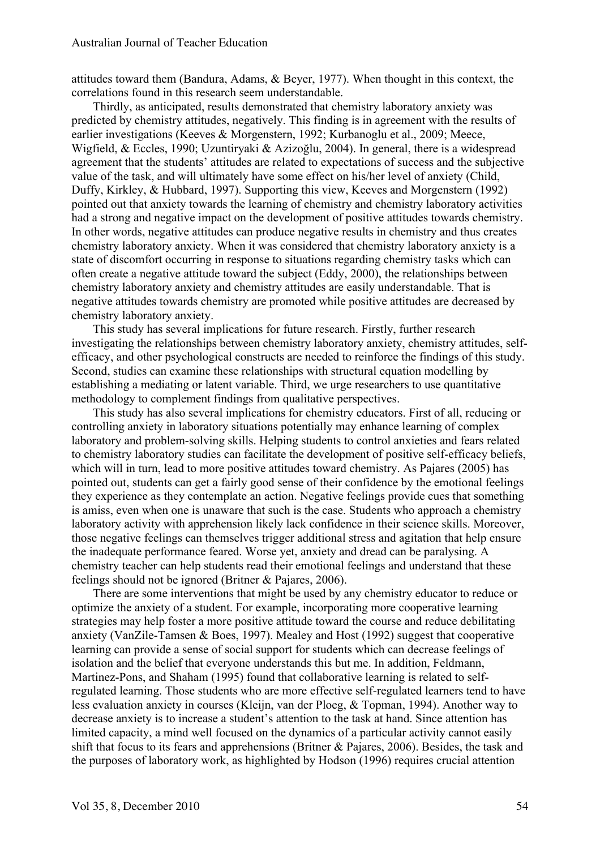attitudes toward them (Bandura, Adams, & Beyer, 1977). When thought in this context, the correlations found in this research seem understandable.

Thirdly, as anticipated, results demonstrated that chemistry laboratory anxiety was predicted by chemistry attitudes, negatively. This finding is in agreement with the results of earlier investigations (Keeves & Morgenstern, 1992; Kurbanoglu et al., 2009; Meece, Wigfield, & Eccles, 1990; Uzuntiryaki & Azizoğlu, 2004). In general, there is a widespread agreement that the students' attitudes are related to expectations of success and the subjective value of the task, and will ultimately have some effect on his/her level of anxiety (Child, Duffy, Kirkley, & Hubbard, 1997). Supporting this view, Keeves and Morgenstern (1992) pointed out that anxiety towards the learning of chemistry and chemistry laboratory activities had a strong and negative impact on the development of positive attitudes towards chemistry. In other words, negative attitudes can produce negative results in chemistry and thus creates chemistry laboratory anxiety. When it was considered that chemistry laboratory anxiety is a state of discomfort occurring in response to situations regarding chemistry tasks which can often create a negative attitude toward the subject (Eddy, 2000), the relationships between chemistry laboratory anxiety and chemistry attitudes are easily understandable. That is negative attitudes towards chemistry are promoted while positive attitudes are decreased by chemistry laboratory anxiety.

This study has several implications for future research. Firstly, further research investigating the relationships between chemistry laboratory anxiety, chemistry attitudes, selfefficacy, and other psychological constructs are needed to reinforce the findings of this study. Second, studies can examine these relationships with structural equation modelling by establishing a mediating or latent variable. Third, we urge researchers to use quantitative methodology to complement findings from qualitative perspectives.

This study has also several implications for chemistry educators. First of all, reducing or controlling anxiety in laboratory situations potentially may enhance learning of complex laboratory and problem-solving skills. Helping students to control anxieties and fears related to chemistry laboratory studies can facilitate the development of positive self-efficacy beliefs, which will in turn, lead to more positive attitudes toward chemistry. As Pajares (2005) has pointed out, students can get a fairly good sense of their confidence by the emotional feelings they experience as they contemplate an action. Negative feelings provide cues that something is amiss, even when one is unaware that such is the case. Students who approach a chemistry laboratory activity with apprehension likely lack confidence in their science skills. Moreover, those negative feelings can themselves trigger additional stress and agitation that help ensure the inadequate performance feared. Worse yet, anxiety and dread can be paralysing. A chemistry teacher can help students read their emotional feelings and understand that these feelings should not be ignored (Britner & Pajares, 2006).

There are some interventions that might be used by any chemistry educator to reduce or optimize the anxiety of a student. For example, incorporating more cooperative learning strategies may help foster a more positive attitude toward the course and reduce debilitating anxiety (VanZile-Tamsen & Boes, 1997). Mealey and Host (1992) suggest that cooperative learning can provide a sense of social support for students which can decrease feelings of isolation and the belief that everyone understands this but me. In addition, Feldmann, Martinez-Pons, and Shaham (1995) found that collaborative learning is related to selfregulated learning. Those students who are more effective self-regulated learners tend to have less evaluation anxiety in courses (Kleijn, van der Ploeg, & Topman, 1994). Another way to decrease anxiety is to increase a student's attention to the task at hand. Since attention has limited capacity, a mind well focused on the dynamics of a particular activity cannot easily shift that focus to its fears and apprehensions (Britner & Pajares, 2006). Besides, the task and the purposes of laboratory work, as highlighted by Hodson (1996) requires crucial attention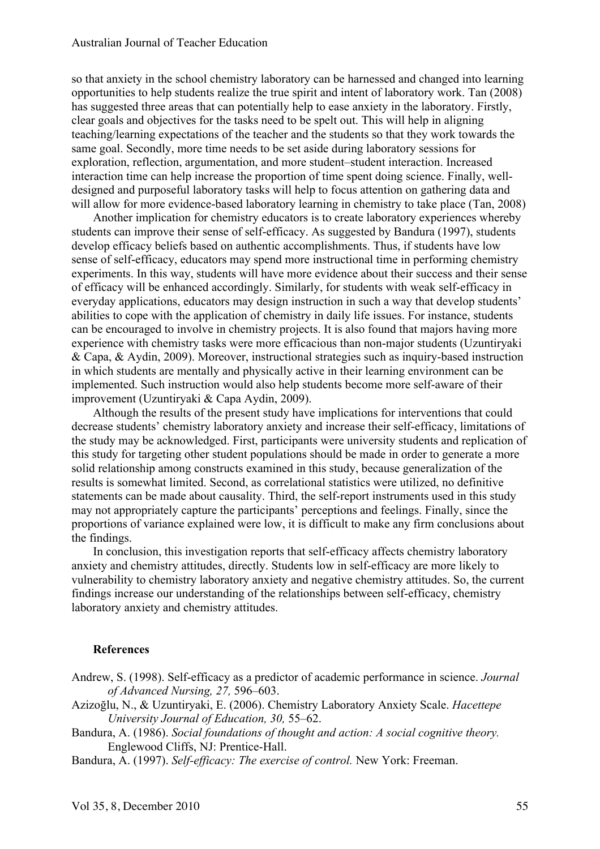so that anxiety in the school chemistry laboratory can be harnessed and changed into learning opportunities to help students realize the true spirit and intent of laboratory work. Tan (2008) has suggested three areas that can potentially help to ease anxiety in the laboratory. Firstly, clear goals and objectives for the tasks need to be spelt out. This will help in aligning teaching/learning expectations of the teacher and the students so that they work towards the same goal. Secondly, more time needs to be set aside during laboratory sessions for exploration, reflection, argumentation, and more student–student interaction. Increased interaction time can help increase the proportion of time spent doing science. Finally, welldesigned and purposeful laboratory tasks will help to focus attention on gathering data and will allow for more evidence-based laboratory learning in chemistry to take place (Tan, 2008)

Another implication for chemistry educators is to create laboratory experiences whereby students can improve their sense of self-efficacy. As suggested by Bandura (1997), students develop efficacy beliefs based on authentic accomplishments. Thus, if students have low sense of self-efficacy, educators may spend more instructional time in performing chemistry experiments. In this way, students will have more evidence about their success and their sense of efficacy will be enhanced accordingly. Similarly, for students with weak self-efficacy in everyday applications, educators may design instruction in such a way that develop students' abilities to cope with the application of chemistry in daily life issues. For instance, students can be encouraged to involve in chemistry projects. It is also found that majors having more experience with chemistry tasks were more efficacious than non-major students (Uzuntiryaki & Capa, & Aydin, 2009). Moreover, instructional strategies such as inquiry-based instruction in which students are mentally and physically active in their learning environment can be implemented. Such instruction would also help students become more self-aware of their improvement (Uzuntiryaki & Capa Aydin, 2009).

Although the results of the present study have implications for interventions that could decrease students' chemistry laboratory anxiety and increase their self-efficacy, limitations of the study may be acknowledged. First, participants were university students and replication of this study for targeting other student populations should be made in order to generate a more solid relationship among constructs examined in this study, because generalization of the results is somewhat limited. Second, as correlational statistics were utilized, no definitive statements can be made about causality. Third, the self-report instruments used in this study may not appropriately capture the participants' perceptions and feelings. Finally, since the proportions of variance explained were low, it is difficult to make any firm conclusions about the findings.

In conclusion, this investigation reports that self-efficacy affects chemistry laboratory anxiety and chemistry attitudes, directly. Students low in self-efficacy are more likely to vulnerability to chemistry laboratory anxiety and negative chemistry attitudes. So, the current findings increase our understanding of the relationships between self-efficacy, chemistry laboratory anxiety and chemistry attitudes.

## **References**

Andrew, S. (1998). Self-efficacy as a predictor of academic performance in science. *Journal of Advanced Nursing, 27,* 596–603.

- Azizoğlu, N., & Uzuntiryaki, E. (2006). Chemistry Laboratory Anxiety Scale. *Hacettepe University Journal of Education, 30,* 55–62.
- Bandura, A. (1986). *Social foundations of thought and action: A social cognitive theory.* Englewood Cliffs, NJ: Prentice-Hall.
- Bandura, A. (1997). *Self-efficacy: The exercise of control.* New York: Freeman.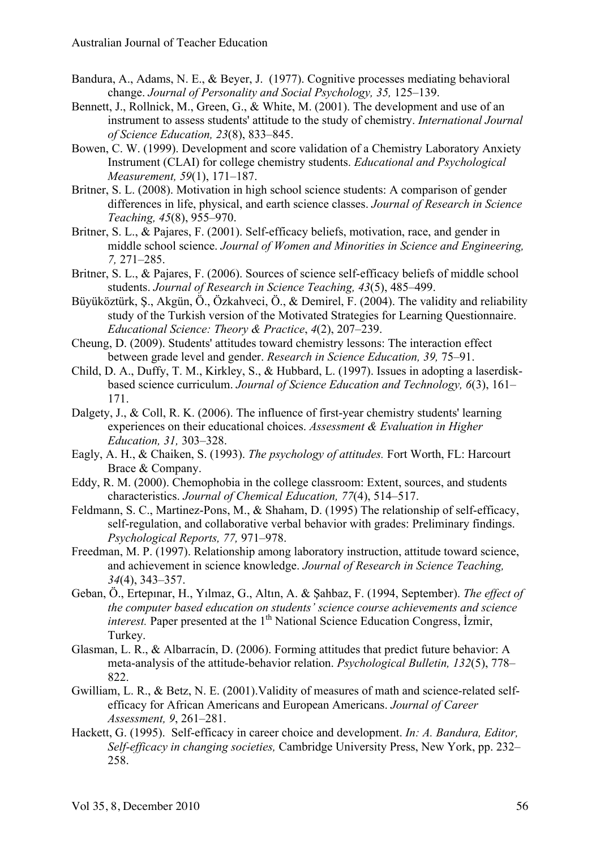- Bandura, A., Adams, N. E., & Beyer, J. (1977). Cognitive processes mediating behavioral change. *Journal of Personality and Social Psychology, 35,* 125–139.
- Bennett, J., Rollnick, M., Green, G., & White, M. (2001). The development and use of an instrument to assess students' attitude to the study of chemistry. *International Journal of Science Education, 23*(8), 833–845.
- Bowen, C. W. (1999). Development and score validation of a Chemistry Laboratory Anxiety Instrument (CLAI) for college chemistry students. *Educational and Psychological Measurement, 59*(1), 171–187.
- Britner, S. L. (2008). Motivation in high school science students: A comparison of gender differences in life, physical, and earth science classes. *Journal of Research in Science Teaching, 45*(8), 955–970.
- Britner, S. L., & Pajares, F. (2001). Self-efficacy beliefs, motivation, race, and gender in middle school science. *Journal of Women and Minorities in Science and Engineering, 7,* 271–285.
- Britner, S. L., & Pajares, F. (2006). Sources of science self-efficacy beliefs of middle school students. *Journal of Research in Science Teaching, 43*(5), 485–499.
- Büyüköztürk, Ş., Akgün, Ö., Özkahveci, Ö., & Demirel, F. (2004). The validity and reliability study of the Turkish version of the Motivated Strategies for Learning Questionnaire. *Educational Science: Theory & Practice*, *4*(2), 207–239.
- Cheung, D. (2009). Students' attitudes toward chemistry lessons: The interaction effect between grade level and gender. *Research in Science Education, 39,* 75–91.
- Child, D. A., Duffy, T. M., Kirkley, S., & Hubbard, L. (1997). Issues in adopting a laserdiskbased science curriculum. *Journal of Science Education and Technology, 6*(3), 161– 171.
- Dalgety, J., & Coll, R. K. (2006). The influence of first-year chemistry students' learning experiences on their educational choices. *Assessment & Evaluation in Higher Education, 31,* 303–328.
- Eagly, A. H., & Chaiken, S. (1993). *The psychology of attitudes.* Fort Worth, FL: Harcourt Brace & Company.
- Eddy, R. M. (2000). Chemophobia in the college classroom: Extent, sources, and students characteristics. *Journal of Chemical Education, 77*(4), 514–517.
- Feldmann, S. C., Martinez-Pons, M., & Shaham, D. (1995) The relationship of self-efficacy, self-regulation, and collaborative verbal behavior with grades: Preliminary findings. *Psychological Reports, 77,* 971–978.
- Freedman, M. P. (1997). Relationship among laboratory instruction, attitude toward science, and achievement in science knowledge. *Journal of Research in Science Teaching, 34*(4), 343–357.
- Geban, Ö., Ertepınar, H., Yılmaz, G., Altın, A. & Şahbaz, F. (1994, September). *The effect of the computer based education on students' science course achievements and science interest.* Paper presented at the 1<sup>th</sup> National Science Education Congress, İzmir, Turkey.
- Glasman, L. R., & Albarracín, D. (2006). Forming attitudes that predict future behavior: A meta-analysis of the attitude-behavior relation. *Psychological Bulletin, 132*(5), 778– 822.
- Gwilliam, L. R., & Betz, N. E. (2001).Validity of measures of math and science-related selfefficacy for African Americans and European Americans. *Journal of Career Assessment, 9*, 261–281.
- Hackett, G. (1995). Self-efficacy in career choice and development. *In: A. Bandura, Editor, Self-efficacy in changing societies,* Cambridge University Press, New York, pp. 232– 258.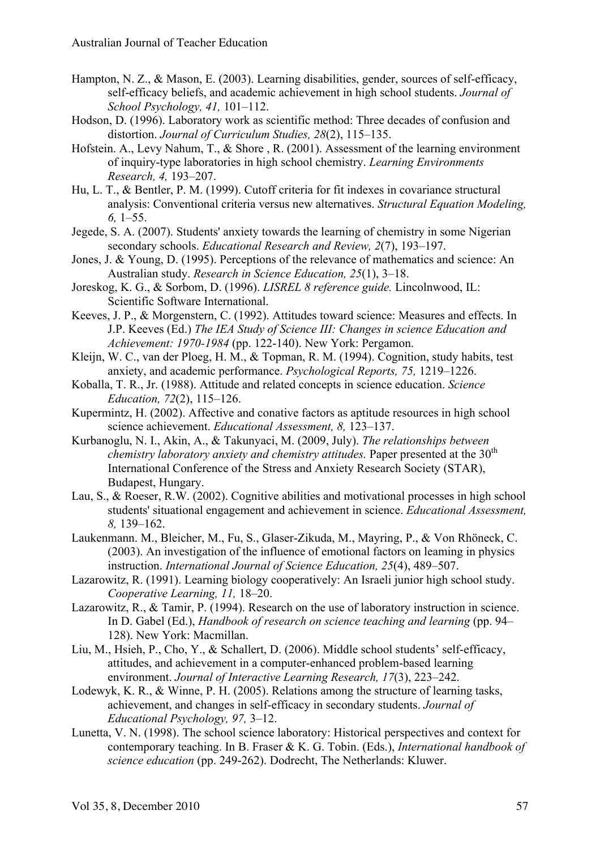- Hampton, N. Z., & Mason, E. (2003). Learning disabilities, gender, sources of self-efficacy, self-efficacy beliefs, and academic achievement in high school students. *Journal of School Psychology, 41,* 101–112.
- Hodson, D. (1996). Laboratory work as scientific method: Three decades of confusion and distortion. *Journal of Curriculum Studies, 28*(2), 115–135.
- Hofstein. A., Levy Nahum, T., & Shore , R. (2001). Assessment of the learning environment of inquiry-type laboratories in high school chemistry. *Learning Environments Research, 4,* 193–207.
- Hu, L. T., & Bentler, P. M. (1999). Cutoff criteria for fit indexes in covariance structural analysis: Conventional criteria versus new alternatives. *Structural Equation Modeling, 6,* 1–55.
- Jegede, S. A. (2007). Students' anxiety towards the learning of chemistry in some Nigerian secondary schools. *Educational Research and Review, 2*(7), 193–197.
- Jones, J. & Young, D. (1995). Perceptions of the relevance of mathematics and science: An Australian study. *Research in Science Education, 25*(1), 3–18.
- Joreskog, K. G., & Sorbom, D. (1996). *LISREL 8 reference guide.* Lincolnwood, IL: Scientific Software International.
- Keeves, J. P., & Morgenstern, C. (1992). Attitudes toward science: Measures and effects. In J.P. Keeves (Ed.) *The IEA Study of Science III: Changes in science Education and Achievement: 1970-1984* (pp. 122-140). New York: Pergamon.
- Kleijn, W. C., van der Ploeg, H. M., & Topman, R. M. (1994). Cognition, study habits, test anxiety, and academic performance. *Psychological Reports, 75,* 1219–1226.
- Koballa, T. R., Jr. (1988). Attitude and related concepts in science education. *Science Education, 72*(2), 115–126.
- Kupermintz, H. (2002). Affective and conative factors as aptitude resources in high school science achievement. *Educational Assessment, 8,* 123–137.
- Kurbanoglu, N. I., Akin, A., & Takunyaci, M. (2009, July). *The relationships between chemistry laboratory anxiety and chemistry attitudes.* Paper presented at the  $30<sup>th</sup>$ International Conference of the Stress and Anxiety Research Society (STAR), Budapest, Hungary.
- Lau, S., & Roeser, R.W. (2002). Cognitive abilities and motivational processes in high school students' situational engagement and achievement in science. *Educational Assessment, 8,* 139–162.
- Laukenmann. M., Bleicher, M., Fu, S., Glaser-Zikuda, M., Mayring, P., & Von Rhöneck, C. (2003). An investigation of the influence of emotional factors on leaming in physics instruction. *International Journal of Science Education, 25*(4), 489–507.
- Lazarowitz, R. (1991). Learning biology cooperatively: An Israeli junior high school study. *Cooperative Learning, 11,* 18–20.
- Lazarowitz, R., & Tamir, P. (1994). Research on the use of laboratory instruction in science. In D. Gabel (Ed.), *Handbook of research on science teaching and learning* (pp. 94– 128). New York: Macmillan.
- Liu, M., Hsieh, P., Cho, Y., & Schallert, D. (2006). Middle school students' self-efficacy, attitudes, and achievement in a computer-enhanced problem-based learning environment. *Journal of Interactive Learning Research, 17*(3), 223–242.
- Lodewyk, K. R., & Winne, P. H. (2005). Relations among the structure of learning tasks, achievement, and changes in self-efficacy in secondary students. *Journal of Educational Psychology, 97,* 3–12.
- Lunetta, V. N. (1998). The school science laboratory: Historical perspectives and context for contemporary teaching. In B. Fraser & K. G. Tobin. (Eds.), *International handbook of science education* (pp. 249-262). Dodrecht, The Netherlands: Kluwer.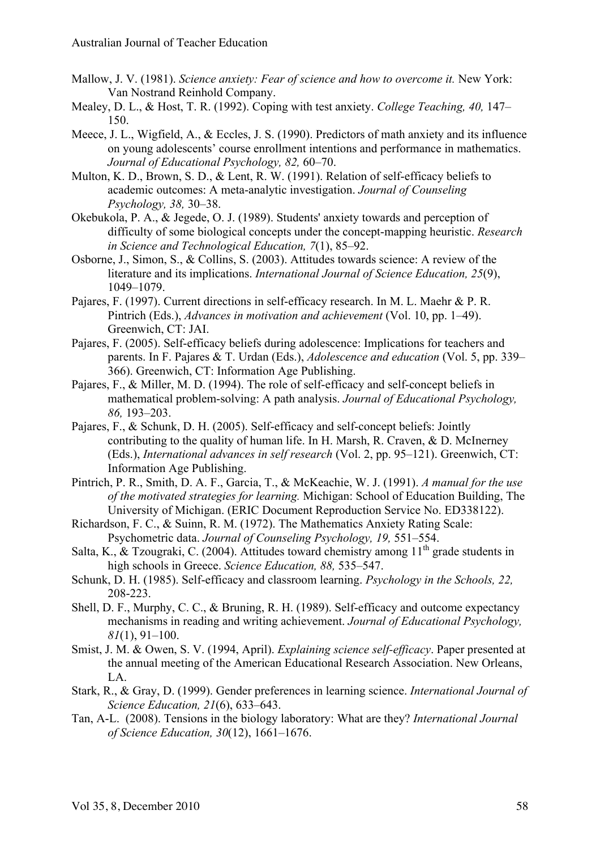- Mallow, J. V. (1981). *Science anxiety: Fear of science and how to overcome it.* New York: Van Nostrand Reinhold Company.
- Mealey, D. L., & Host, T. R. (1992). Coping with test anxiety. *College Teaching, 40,* 147– 150.
- Meece, J. L., Wigfield, A., & Eccles, J. S. (1990). Predictors of math anxiety and its influence on young adolescents' course enrollment intentions and performance in mathematics. *Journal of Educational Psychology, 82,* 60–70.
- Multon, K. D., Brown, S. D., & Lent, R. W. (1991). Relation of self-efficacy beliefs to academic outcomes: A meta-analytic investigation. *Journal of Counseling Psychology, 38,* 30–38.
- Okebukola, P. A., & Jegede, O. J. (1989). Students' anxiety towards and perception of difficulty of some biological concepts under the concept-mapping heuristic. *Research in Science and Technological Education, 7*(1), 85–92.
- Osborne, J., Simon, S., & Collins, S. (2003). Attitudes towards science: A review of the literature and its implications. *International Journal of Science Education, 25*(9), 1049–1079.
- Pajares, F. (1997). Current directions in self-efficacy research. In M. L. Maehr & P. R. Pintrich (Eds.), *Advances in motivation and achievement* (Vol. 10, pp. 1–49). Greenwich, CT: JAI.
- Pajares, F. (2005). Self-efficacy beliefs during adolescence: Implications for teachers and parents. In F. Pajares & T. Urdan (Eds.), *Adolescence and education* (Vol. 5, pp. 339– 366). Greenwich, CT: Information Age Publishing.
- Pajares, F., & Miller, M. D. (1994). The role of self-efficacy and self-concept beliefs in mathematical problem-solving: A path analysis. *Journal of Educational Psychology, 86,* 193–203.
- Pajares, F., & Schunk, D. H. (2005). Self-efficacy and self-concept beliefs: Jointly contributing to the quality of human life. In H. Marsh, R. Craven,  $\&$  D. McInerney (Eds.), *International advances in self research* (Vol. 2, pp. 95–121). Greenwich, CT: Information Age Publishing.
- Pintrich, P. R., Smith, D. A. F., Garcia, T., & McKeachie, W. J. (1991). *A manual for the use of the motivated strategies for learning.* Michigan: School of Education Building, The University of Michigan. (ERIC Document Reproduction Service No. ED338122).
- Richardson, F. C., & Suinn, R. M. (1972). The Mathematics Anxiety Rating Scale: Psychometric data. *Journal of Counseling Psychology, 19,* 551–554.
- Salta, K., & Tzougraki, C. (2004). Attitudes toward chemistry among  $11<sup>th</sup>$  grade students in high schools in Greece. *Science Education, 88,* 535–547.
- Schunk, D. H. (1985). Self-efficacy and classroom learning. *Psychology in the Schools, 22,* 208-223.
- Shell, D. F., Murphy, C. C., & Bruning, R. H. (1989). Self-efficacy and outcome expectancy mechanisms in reading and writing achievement. *Journal of Educational Psychology, 81*(1), 91–100.
- Smist, J. M. & Owen, S. V. (1994, April). *Explaining science self-efficacy*. Paper presented at the annual meeting of the American Educational Research Association. New Orleans, LA.
- Stark, R., & Gray, D. (1999). Gender preferences in learning science. *International Journal of Science Education, 21*(6), 633–643.
- Tan, A-L. (2008). Tensions in the biology laboratory: What are they? *International Journal of Science Education, 30*(12), 1661–1676.